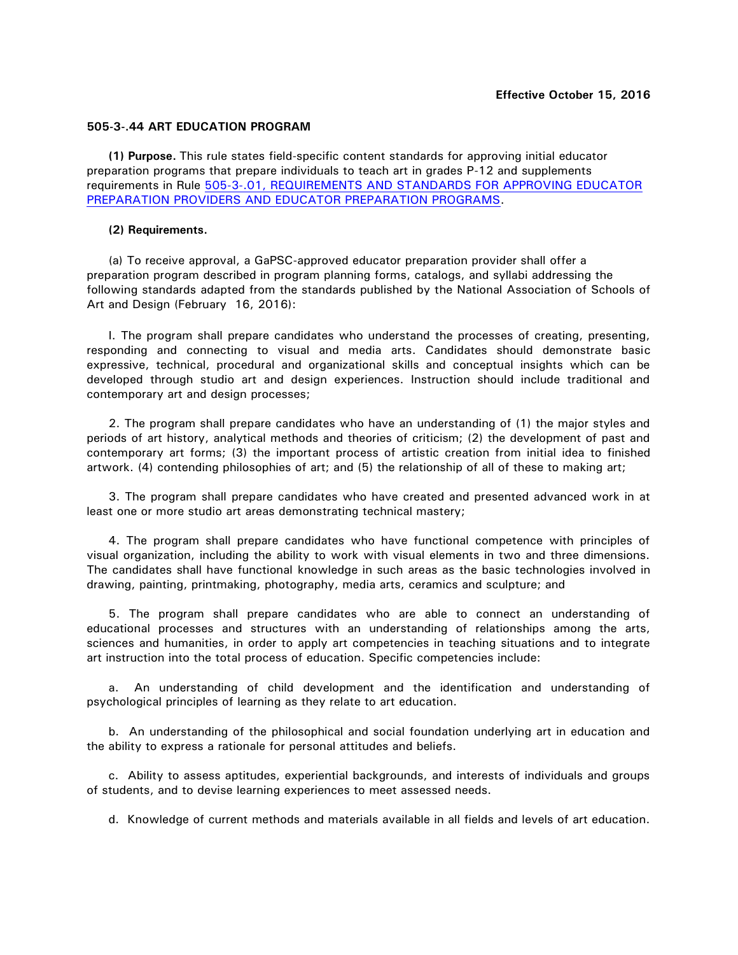## **505-3-.44 ART EDUCATION PROGRAM**

**(1) Purpose.** This rule states field-specific content standards for approving initial educator preparation programs that prepare individuals to teach art in grades P-12 and supplements requirements in Rule [505-3-.01, REQUIREMENTS AND STANDARDS FOR APPROVING EDUCATOR](http://www.gapsc.com/Rules/Current/EducatorPreparation/505-3-.01.pdf?dt=636118667119890718) [PREPARATION PROVIDERS AND EDUCATOR PREPARATION PROGRAMS.](http://www.gapsc.com/Rules/Current/EducatorPreparation/505-3-.01.pdf?dt=636118667119890718)

## **(2) Requirements.**

(a) To receive approval, a GaPSC-approved educator preparation provider shall offer a preparation program described in program planning forms, catalogs, and syllabi addressing the following standards adapted from the standards published by the National Association of Schools of Art and Design (February 16, 2016):

I. The program shall prepare candidates who understand the processes of creating, presenting, responding and connecting to visual and media arts. Candidates should demonstrate basic expressive, technical, procedural and organizational skills and conceptual insights which can be developed through studio art and design experiences. Instruction should include traditional and contemporary art and design processes;

2. The program shall prepare candidates who have an understanding of (1) the major styles and periods of art history, analytical methods and theories of criticism; (2) the development of past and contemporary art forms; (3) the important process of artistic creation from initial idea to finished artwork. (4) contending philosophies of art; and (5) the relationship of all of these to making art;

3. The program shall prepare candidates who have created and presented advanced work in at least one or more studio art areas demonstrating technical mastery;

4. The program shall prepare candidates who have functional competence with principles of visual organization, including the ability to work with visual elements in two and three dimensions. The candidates shall have functional knowledge in such areas as the basic technologies involved in drawing, painting, printmaking, photography, media arts, ceramics and sculpture; and

5. The program shall prepare candidates who are able to connect an understanding of educational processes and structures with an understanding of relationships among the arts, sciences and humanities, in order to apply art competencies in teaching situations and to integrate art instruction into the total process of education. Specific competencies include:

a. An understanding of child development and the identification and understanding of psychological principles of learning as they relate to art education.

b. An understanding of the philosophical and social foundation underlying art in education and the ability to express a rationale for personal attitudes and beliefs.

c. Ability to assess aptitudes, experiential backgrounds, and interests of individuals and groups of students, and to devise learning experiences to meet assessed needs.

d. Knowledge of current methods and materials available in all fields and levels of art education.